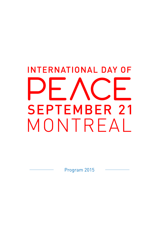# **INTERNATIONAL DAY OF SEPTEMBER 21** MONTREAL

Program 2015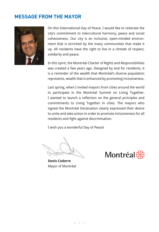## **MESSAGE FROM THE MAYOR**



On this International Day of Peace, I would like to reiterate the city's commitment to intercultural harmony, peace and social cohesiveness. Our city is an inclusive, open-minded environment that is enriched by the many communities that make it up. All residents have the right to live in a climate of respect, solidarity and peace.

In this spirit, the Montréal Charter of Rights and Responsibilities was created a few years ago. Designed by and for residents, it is a reminder of the wealth that Montréal's diverse population represents, wealth that is enhanced by promoting inclusiveness.

Last spring, when I invited mayors from cities around the world to participate in the Montréal Summit on Living Together, I wanted to launch a reflection on the general principles and commitments to Living Together in cities. The mayors who signed the Montréal Declaration clearly expressed their desire to unite and take action in order to promote inclusiveness for all residents and fight against discrimination.

I wish you a wonderful Day of Peace!

**Denis Coderre** Mayor of Montréal

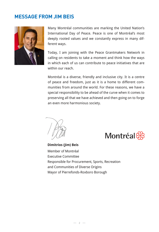## **MESSAGE FROM JIM BEIS**



Many Montréal communities are marking the United Nation's International Day of Peace. Peace is one of Montréal's most deeply rooted values and we constantly express in many different ways.

Today, I am joining with the Peace Grantmakers Network in calling on residents to take a moment and think how the ways in which each of us can contribute to peace initiatives that are within our reach.

Montréal is a diverse, friendly and inclusive city. It is a centre of peace and freedom, just as it is a home to different communities from around the world. For these reasons, we have a special responsibility to be ahead of the curve when it comes to preserving all that we have achieved and then going on to forge an even more harmonious society.

Montréal <mark>ਉ</mark>ੱਤੇ

**Dimitrios (Jim) Beis** Member of Montréal Executive Committee Responsible for Procurement, Sports, Recreation and Communities of Diverse Origins Mayor of Pierrefonds-Roxboro Borough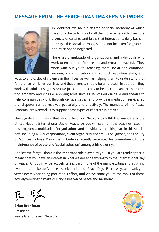## **MESSAGE FROM THE PEACE GRANTMAKERS NETWORK**



In Montreal, we have a degree of social harmony of which we should be truly proud – all the more remarkably given the diversity of cultures and faiths that interact on a daily basis in our city. This social harmony should not be taken for granted, and must not be neglected.

There are a multitude of organizations and individuals who work to ensure that Montreal is and remains peaceful. They work with our youth, teaching them social and emotional learning, communication and conflict resolution skills, and

ways to end cycles of violence in their lives, as well as helping them to understand that "difference" enriches our lives, and that diversity should be embraced. In addition, they work with adults, using restorative justice approaches to help victims and perpetrators find empathy and closure, applying tools such as structured dialogue and theatre to help communities work through divisive issues, and providing mediation services so that disputes can be resolved peacefully and effectively. The mandate of the Peace Grantmakers Network is to support these types of concrete initiatives.

One significant initiative that should help our Network to fulfill this mandate is the United Nations International Day of Peace. As you will see from the activities listed in this program, a multitude of organizations and individuals are taking part in this special day, including NGOs, corporations, event organizers, the YMCAs of Quebec, and the City of Montreal, whose Mayor Denis Coderre recently reiterated his commitment to the maintenance of peace and "social cohesion" amongst his citizenry.

And lest we forget: there is the important role played by you! If you are reading this, it means that you have an interest in what we are endeavoring with the International Day of Peace. Or you may be actively taking part in one of the many exciting and inspiring events that make up Montreal's celebrations of Peace Day. Either way, we thank you very sincerely for being part of this effort, and we welcome you to the ranks of those actively working to make our city a beacon of peace and harmony.

**Brian Bronfman** President Peace Grantmakers Network

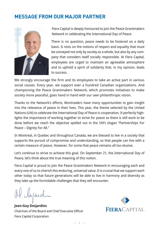## **MESSAGE FROM OUR MAJOR PARTNER**



Fiera Capital is deeply honoured to join the Peace Grantmakers Network in celebrating the International Day of Peace.

There is no question, peace needs to be fostered on a daily basis. It rests on the notions of respect and equality that must be conveyed not only by society as a whole, but also by any company that considers itself socially responsible. At Fiera Capital, employees are urged to maintain an agreeable atmosphere and to uphold a spirit of solidarity that, in my opinion, leads to success.

We strongly encourage the firm and its employees to take an active part in various social causes. Every year, we support over a hundred Canadian organizations. And championing the Peace Grantmakers Network, which promotes initiatives to make society more peaceful, goes hand in hand with our own philanthropic vision.

Thanks to the Network's efforts, Montrealers have many opportunities to gain insight into the relevance of peace in their lives. This year, the theme selected by the United Nations (UN) to celebrate the International Day of Peace is cooperation. It perfectly highlights the importance of working together to strive for peace as there is still work to be done before we reach the objective spelled out in the UN's slogan "Partnerships For Peace – Dignity For All."

In Montreal, in Quebec and throughout Canada, we are blessed to live in a society that supports the pursuit of compromise and understanding, so that people can live with a certain measure of peace. However, for some that peace remains all too elusive.

Let's continue to strive to achieve this goal. On September 21, the International Day of Peace, let's think about the true meaning of this notion.

Fiera Capital is proud to join the Peace Grantmakers Network in encouraging each and every one of us to cherish this enduring, universal value. It is crucial that we support each other today so that future generations will be able to live in harmony and diversity as they take up the formidable challenges that they will encounter.

lapard

**Jean-Guy Desjardins** Chairman of the Board and Chief Executive Officer Fiera Capital Corporation



 $-4 -$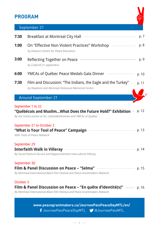## **PROGRAM**



## September 21

|      | Breakfast at Montreal City Hall                                                                                                                                                                                             | p. 7  |
|------|-----------------------------------------------------------------------------------------------------------------------------------------------------------------------------------------------------------------------------|-------|
| 1:00 | On "Effective Non Violent Practices" Workshop<br>by Dawson Centre for Peace Education                                                                                                                                       | p. 8  |
| 3:00 | Reflecting Together on Peace<br>by Collectif 21 septembre                                                                                                                                                                   | p. 9  |
| 6:00 | YMCAs of Québec Peace Medals Gala Dinner                                                                                                                                                                                    | p. 10 |
| 7:30 | Film and Discussion: "The Indians, the Eagle and the Turkey"<br>by Wapikoni and Montreal Holocaust Memorial Centre                                                                                                          | p. 11 |
|      | <b>Around September 21</b>                                                                                                                                                                                                  |       |
|      | September 1 to 22<br>"Québécois and MuslimWhat Does the Future Hold?" Exhibition<br>By the Centre justice et foi, LaVoiedesFemmes and YMCAs of Québec<br>September 21 to October 2<br>"What is Your Tool of Peace" Campaign | p. 12 |
|      | With Tools of Peace Network                                                                                                                                                                                                 | p. 13 |
|      | September 29<br><b>Interfaith Walk in Villeray</b><br>By Social Pastoral Service and Rapprochement interculturel Villeray                                                                                                   | p. 14 |
|      | September 30<br>Film & Panel Discussion on Peace – "Selma"<br>By Montreal International Black Film Festival and Peace Grantmakers Network                                                                                   | p. 15 |

**www.peacegrantmakers.ca/JourneePaixPeaceDayMTL/en/** JourneePaixPeaceDayMTL @JourneePaixMTL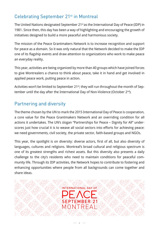## Celebrating September 21<sup>st</sup> in Montreal

The United Nations designated September 21<sup>st</sup> as the International Day of Peace (IDP) in 1981. Since then, this day has been a way of highlighting and encouraging the growth of initiatives designed to build a more peaceful and harmonious society.

The mission of the Peace Grantmakers Network is to increase recognition and support for peace as a domain. So it was only natural that the Network decided to make the IDP one of its flagship events and draw attention to organizations who work to make peace an everyday reality.

This year, activities are being organized by more than 40 groups which have joined forces to give Montrealers a chance to think about peace, take it in hand and get involved in applied peace work, putting peace in action.

Activities won't be limited to September 21<sup>st</sup>; they will run throughout the month of September until the day after the International Day of Non-Violence (October 2<sup>nd</sup>).

## Partnering and diversity

The theme chosen by the UN to mark the 2015 International Day of Peace is cooperation, a core value for the Peace Grantmakers Network and an overriding condition for all actions it undertakes. The UN's slogan "Partnerships for Peace – Dignity for All" underscores just how crucial it is to weave all social sectors into efforts for achieving peace: we need governments, civil society, the private sector, faith-based groups and NGOs.

This year, the spotlight is on diversity: diverse actors, first of all, but also diversity of languages, cultures and religions. Montreal's broad cultural and religious spectrum is one of its greatest strengths and richest assets. But this diversity also presents a daily challenge to the city's residents who need to maintain conditions for peaceful community life. Through its IDP activities, the Network hopes to contribute to fostering and enhancing opportunities where people from all backgrounds can come together and share ideas.

> INTERNATIONAL DAY OF SFPTFMRFR 21 MONTRFA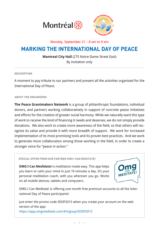

## Monday, September 21 – 8 am to 9 am

## **MARKING THE INTERNATIONAL DAY OF PEACE**

**Montreal City Hall** (275 Notre-Dame Street East) By invitation only

#### **DESCRIPTION**

A moment to pay tribute to our partners and present all the activities organised for the International Day of Peace.

#### ABOUT THE ORGANIZERS

**The Peace Grantmakers Network** is a group of philanthropic foundations, individual donors, and partners working collaboratively in support of concrete peace initiatives and efforts for the creation of greater social harmony. While we naturally want this type of work to receive the kind of financing it needs and deserves, we do not simply provide donations. We also work to create more awareness of the field, so that others will recognize its value and provide it with more breadth of support. We work for increased implementation of its most promising tools and its proven best practices. And we work to generate more collaboration among those working in the field, in order to create a stronger voice for "peace in action."

SPECIAL OFFER FROM OUR PARTNER OMG I CAN MEDITATE!

**OMG I Can Medidate!** is meditation made easy. This app helps you learn to calm your mind in just 10 minutes a day. It's your personal meditation coach, with you wherever you go. Works on all mobile devices, tablets and computers.



OMG I Can Meditate! is offering one month free premium accounts to all the International Day of Peace participants!

Just enter the promo code IDOP2015 when you create your account on the web version of the app:

https://app.omgmeditate.com/#/signup/IODP2015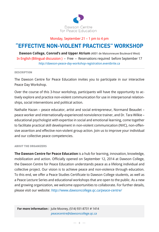

#### Monday, September 21 – 1 pm to 4 pm

# **"EFFECTIVE NON-VIOLENT PRACTICES" WORKSHOP**

**Dawson College, Conrod's and Upper Atrium** (4001 de Maisonneuve Boulevard West) In English (Bilingual discussion ) – Free – Reservations required before September 17 http://dawson-peace-day-workshop-registration.eventbrite.ca

#### **DESCRIPTION**

The Dawson Centre for Peace Education invites you to participate in our interactive Peace Day Workshop.

Over the course of this 3-hour workshop, participants will have the opportunity to actively explore and practice non-violent communication for use in interpersonal relationships, social interventions and political action.

Nathalie Hazan – peace educator, artist and social entrepreneur, Normand Beaudet – peace worker and internationally-experienced nonviolence trainer, and Dr. Tara Wilkie – educational psychologist with expertise in social and emotional learning, come together to facilitate practical skill development in non-violent communication (NVC), non-offensive assertion and effective non-violent group action. Join us to improve your individual and our collective peace competencies.

#### ABOUT THE ORGANIZERS

**The Dawson Centre for Peace Education** is a hub for learning, innovation, knowledge, mobilization and action. Officially opened on September 12, 2014 at Dawson College, the Dawson Centre for Peace Education understands peace as a lifelong individual and collective project. Our vision is to achieve peace and non-violence through education. To this end, we offer a Peace Studies Certificate to Dawson College students, as well as a Peace Lecture Series and educational workshops that are open to the public. As a new and growing organization, we welcome opportunities to collaborate. For further details, please visit our website: http://www.dawsoncollege.qc.ca/peace-centre/

**For more information :** Julie Mooney, (514) 931-8731 # 1414 peacecentre@dawsoncollege.qc.ca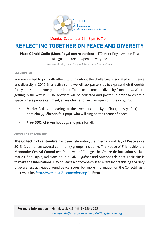

Monday, September 21 – 3 pm to 7 pm

# **REFLECTING TOGETHER ON PEACE AND DIVERSITY**

**Place Gérald-Godin (Mont-Royal metro station)** 470 Mont-Royal Avenue East

Bilingual – Free – Open to everyone

In case of rain, the activity will take place the next day

#### **DESCRIPTION**

You are invited to join with others to think about the challenges associated with peace and diversity in 2015. In a festive spirit, we will ask passers-by to express their thoughts freely and spontaneously on the idea: "To make the most of diversity, I need to … What's getting in the way is…" The answers will be collected and posted in order to create a space where people can meet, share ideas and keep an open discussion going.

- **Music:** Artists appearing at the event include Kyra Shaughnessy (folk) and domlebo (Québécois folk-pop), who will sing on the theme of peace.
- **Free BBQ:** Chicken hot dogs and juice for all.

#### ABOUT THE ORGANIZERS

**The Collectif 21 septembre** has been celebrating the International Day of Peace since 2013. It comprises several community groups, including: The House of Friendship, the Mennonite Central Committee, Initiatives of Change, the Centre de formation sociale Marie-Gérin-Lajoie, Religions pour la Paix - Québec and Antennes de paix. Their aim is to make the International Day of Peace a not-to-be-missed event by organizing a variety of awareness activities around peace issues. For more information on the Collectif, visit their website: http://www.paix-21septembre.org (in French).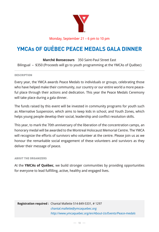

Monday, September 21 – 6 pm to 10 pm

# **YMCAs OF QUÉBEC PEACE MEDALS GALA DINNER**

**Marché Bonsecours** 350 Saint-Paul Street East Bilingual – \$350 (Proceeds will go to youth programming at the YMCAs of Québec)

#### **DESCRIPTION**

Every year, the YMCA awards Peace Medals to individuals or groups, celebrating those who have helped make their community, our country or our entire world a more peaceful place through their actions and dedication. This year the Peace Medals Ceremony will take place during a gala dinner.

The funds raised by this event will be invested in community programs for youth such as Alternative Suspension, which aims to keep kids in school, and Youth Zones, which helps young people develop their social, leadership and conflict resolution skills.

This year, to mark the 70th anniversary of the liberation of the concentration camps, an honorary medal will be awarded to the Montreal Holocaust Memorial Centre. The YMCA will recognize the efforts of survivors who volunteer at the centre. Please join us as we honour the remarkable social engagement of these volunteers and survivors as they deliver their message of peace.

#### ABOUT THE ORGANIZERS

At the **YMCAs of Québec**, we build stronger communities by providing opportunities for everyone to lead fulfilling, active, healthy and engaged lives.

**Registration required :** Chantal Mallette 514-849-5331, # 1297 chantal.mallette@ymcaquebec.org http://www.ymcaquebec.org/en/About-Us/Events/Peace-medals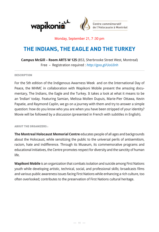

## Monday, September 21, 7 :30 pm

# **THE INDIANS, THE EAGLE AND THE TURKEY**

**Campus McGill – Room ARTS W 125** (853, Sherbrooke Street West, Montreal) Free – Registration required : http://goo.gl/UoUInh

#### **DESCRIPTION**

For the 5th edition of the Indigenous Awarness Week and on the International Day of Peace, the MHMC in collaboration with Wapikoni Mobile present the amazing documentary, The Indians, the Eagle and the Turkey. It takes a look at what it means to be an 'Indian' today. Featuring Samian, Melissa Mollen Dupuis, Marie-Pier Ottawa, Kevin Papatie, and Raymond Caplin, we go on a journey with them and try to answer a simple question: how do you know who you are when you have been stripped of your identity? Movie will be followed by a discussion (presented in French with subtitles in English).

#### ABOUT THE ORGANIZERS :

**The Montreal Holocaust Memorial Centre** educates people of all ages and backgrounds about the Holocaust, while sensitizing the public to the universal perils of antisemitism, racism, hate and indifference. Through its Museum, its commemorative programs and educational initiatives, the Centre promotes respect for diversity and the sanctity of human life.

**Wapikoni Mobile** is an organization that combats isolation and suicide among First Nations youth while developing artistic, technical, social, and professional skills; broadcasts films and various public awareness issues facing First Nations while enhancing a rich culture, too often overlooked; contributes to the preservation of First Nations cultural heritage.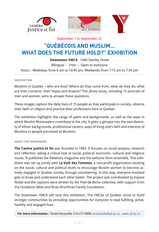





September 1 to September 22

# **"QUÉBÉCOIS AND MUSLIM… WHAT DOES THE FUTURE HOLD?" EXHIBITION**

**Downtown YMCA** 1440 Stanley Street Bilingual – Free – Open to everyone Hours : Weekdays from 6 am to 10:45 pm, Weekends from 7:15 am to 7:45 pm

#### **DESCRIPTION**

Muslims in Quebec – who are they? Where do they come from, what do they do, what are their concerns, their hopes and dreams? This photo essay, including 15 portraits of men and women, aims to answer these questions.

These images capture the daily lives of 15 people as they participate in society, observe their faith or religion and practise their professions here in Quebec.

The exhibition highlights the range of paths and backgrounds, as well as the ways in which Muslim Montrealers contribute to the city. It gives a glimpse into the vast diversity of ethnic backgrounds, professional careers, ways of living one's faith and interests of Muslims or people perceived as Muslims.

#### ABOUT THE ORGANIZERS

**The Centre justice et foi** was founded in 1983. It focuses on social analysis, research and reflection, taking a critical look at social, political, economic, cultural and religious issues. It publishes the Relations magazine and the webzine Vivre ensemble. This exhibition was set up jointly with **La VoiE des Femmes**, a non-profit organization working on the social, cultural and political levels to encourage Muslim women to become actively engaged in Quebec society through volunteering. In this way, everyone involved gets to know and understand each other better. The project was coordinated by Espace Nodal and the captions were written by the Pied-de-Biche collective, with support from the Fondation Béati and Brian Bronfman Family Foundation.

The Downtown YMCA will host this exhibition. The YMCAs of Québec strive to build stronger communities by providing opportunities for everyone to lead fulfilling, active, healthy and engaged lives.

**For more information :** Élodie Rousselle, 514-277-8889, erousselle@cjf.qc.ca, www.cjf.qc.ca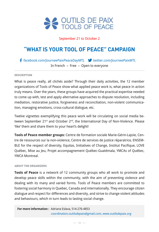

## September 21 to October 2

# **"WHAT IS YOUR TOOL OF PEACE" CAMPAIGN**

## f facebook.com/JourneePaixPeaceDayMTL twitter.com/JourneePaixMTL In French – Free – Open to everyone

#### **DESCRIPTION**

What is peace really, all clichés aside? Through their daily activities, the 12 member organizations of Tools of Peace show what applied peace work is, what peace in action truly means. Over the years, these groups have acquired the practical expertise needed to come up with, test and apply alternative approaches to dispute resolution, including mediation, restorative justice, forgiveness and reconciliation, non-violent communication, managing emotions, cross-cultural dialogue, etc.

Twelve vignettes exemplifying this peace work will be circulating on social media between September 21<sup>st</sup> and October 2<sup>nd</sup>, the International Day of Non-Violence. Please 'like' them and share them to your heart's delight!

**Tools of Peace member groups:** Centre de formation sociale Marie-Gérin-Lajoie, Centre de ressources sur la non-violence, Centre de services de justice réparatrice, ENSEM-BLE for the respect of diversity, Equitas, Initiatives of Change, Institut Pacifique, LOVE Québec, Mise au Jeu, Projet accompagnement Québec-Guatémala, YMCAs of Québec, YWCA Montreal.

#### ABOUT THE ORGANIZERS

**Tools of Peace** is a network of 12 community groups who all work to promote and develop peace skills within the community, with the aim of preventing violence and dealing with its many and varied forms. Tools of Peace members are committed to fostering social harmony in Quebec, Canada and internationally. They encourage citizen dialogue and respect for differences and diversity, and strive to change violent attitudes and behaviours, which in turn leads to lasting social change.

**For more information :** Adriana Eslava, 514-276-4853 coordination.outilsdepaix@gmail.com, www.outilsdepaix.org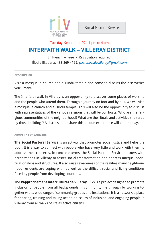

# **INTERFAITH WALK – VILLERAY DISTRICT** Tuesday, September 29 – 1 pm to 4 pm

In French – Free – Registration required Élodie Ekobena, 438-869-4199, pastosocialevilleray@gmail.com

#### **DESCRIPTION**

Visit a mosque, a church and a Hindu temple and come to discuss the discoveries you'll make!

The Interfaith walk in Villeray is an opportunity to discover some places of worship and the people who attend them. Through a journey on foot and by bus, we will visit a mosque, a church and a Hindu temple. This will also be the opportunity to discuss with representatives of the various religions that will be our hosts. Who are the religious communities of the neighborhood? What are the rituals and activities sheltered by those buildings? A discussion to share this unique experience will end the day.

#### ABOUT THE ORGANIZERS

**The Social Pastoral Service** is an activity that promotes social justice and helps the poor. It is a way to connect with people who have very little and work with them to address their concerns. In concrete terms, the Social Pastoral Service partners with organizations in Villeray to foster social transformation and address unequal social relationships and structures. It also raises awareness of the realities many neighbourhood residents are coping with, as well as the difficult social and living conditions faced by people from developing countries.

The **Rapprochement interculturel de Villeray** (RIV) is a project designed to promote inclusion of people from all backgrounds in community life through by working together with a wide range of community groups and institutions. It is a network, a place for sharing, training and taking action on issues of inclusion, and engaging people in Villeray from all walks of life as active citizens.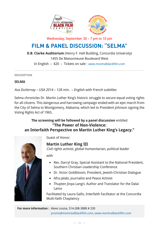

Wednesday, September 30 – 7 pm to 10 pm

# **FILM & PANEL DISCUSSION: "SELMA"**

**D.B. Clarke Auditorium** (Henry F. Hall Building, Concordia University) 1455 De Maisonneuve Boulevard West In English – \$20 – Tickets on sale : www.montralblackfilm.com

**DESCRIPTION** 

## **SELMA**

Ava DuVernay – USA 2014 – 128 min. – English with French subtitles

Selma chronicles Dr. Martin Luther King's historic struggle to secure equal voting rights for all citizens. This dangerous and harrowing campaign ended with an epic march from the City of Selma to Montgomery, Alabama, which led to President Johnson signing the Voting Rights Act of 1965.

## **The screening will be followed by a panel discussion** entitled **"The Power of Non-Violence: an Interfaith Perspective on Martin Luther King's Legacy."**



Guest of Honor:

## **Martin Luther King III**

Civil rights activist, global humanitarian, political leader

with

- Rev. Darryl Gray, Special Assistant to the National President, Southern Christian Leadership Conference
- Dr. Victor Goldbloom, President, Jewish-Christian Dialogue
- Afra Jalabi, Journalist and Peace Activist
- Thupten Jinpa Langri, Author and Translator for the Dalai Lama

Facilitated by Laura Gallo, Interfaith Facilitator at the Concordia Multi-faith Chaplaincy

**For more information :** Alexe Louisa, 514-288-3888 # 330 promo@montrealblackfilm.com, www.montralblackfilm.com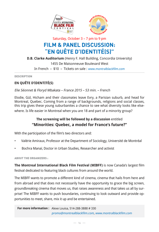

Saturday, October 3 – 7 pm to 9 pm

# **FILM & PANEL DISCUSSION: "EN QUÊTE D'IDENTITÉ(S)"**

## **D.B. Clarke Auditorium** (Henry F. Hall Building, Concordia University) 1455 De Maisonneuve Boulevard West

In French – \$10 – Tickets on sale : www.montralblackfilm.com

**DESCRIPTION** 

## **EN QUÊTE D'IDENTITÉ(S)**

Elie Séonnet & Floryd Mbakata – France 2015 – 53 min. – French

Elodie, Gül, Hicham and their classmates leave Evry, a Parisian suburb, and head for Montreal, Quebec. Coming from a range of backgrounds, religions and social classes, this trip gives these young suburbanites a chance to see what diversity looks like else-

where. Is life easier in Montreal when you are 18 and part of a minority group?

## **The screening will be followed by a discussion** entitled **"Minorities: Quebec, a model for France's future?"**

With the participation of the film's two directors and:

- Valérie Amiraux, Professor at the Department of Sociology, Université de Montréal
- Bochra Manaï, Doctor in Urban Studies, Researcher and activist

ABOUT THE ORGANIZERS :

**The Montreal International Black Film Festival (MIBFF)** is now Canada's largest film festival dedicated to featuring black cultures from around the world.

The MIBFF wants to promote a different kind of cinema, cinema that hails from here and from abroad and that does not necessarily have the opportunity to grace the big screen, groundbreaking cinema that moves us, that raises awareness and that takes us all by surprise! The MIBFF wants to push boundaries, continuing to look outward and provide opportunities to meet, share, mix it up and be entertained.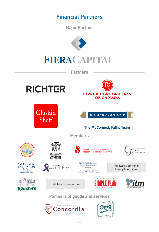# **Financial Partners**